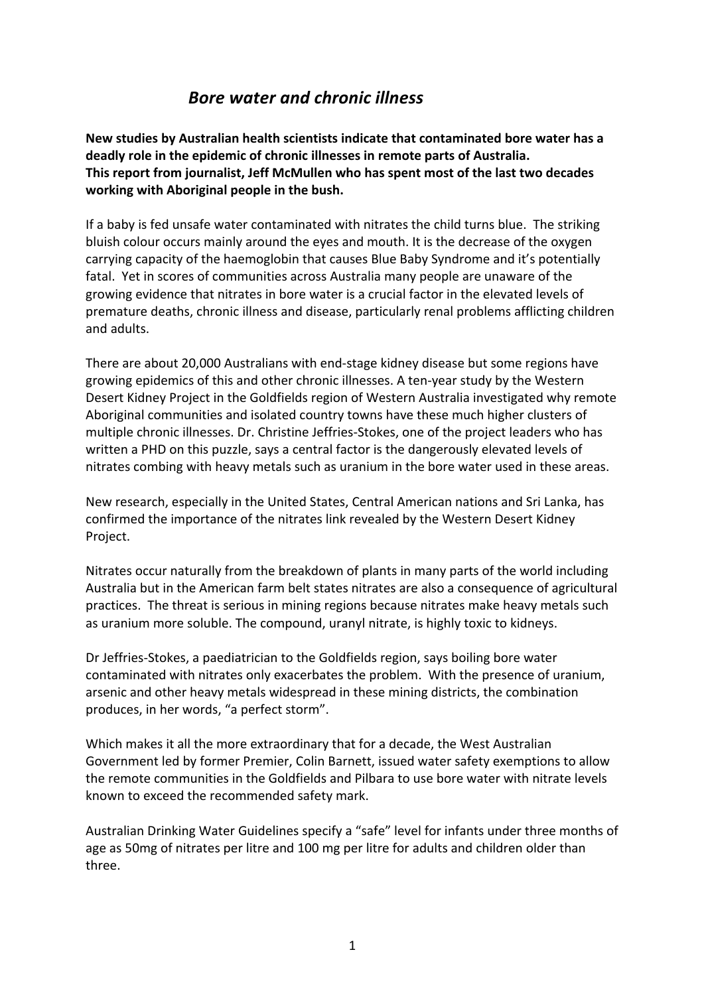## *Bore water and chronic illness*

**New studies by Australian health scientists indicate that contaminated bore water has a** deadly role in the epidemic of chronic illnesses in remote parts of Australia. This report from journalist, Jeff McMullen who has spent most of the last two decades working with Aboriginal people in the bush.

If a baby is fed unsafe water contaminated with nitrates the child turns blue. The striking bluish colour occurs mainly around the eyes and mouth. It is the decrease of the oxygen carrying capacity of the haemoglobin that causes Blue Baby Syndrome and it's potentially fatal. Yet in scores of communities across Australia many people are unaware of the growing evidence that nitrates in bore water is a crucial factor in the elevated levels of premature deaths, chronic illness and disease, particularly renal problems afflicting children and adults.

There are about 20,000 Australians with end-stage kidney disease but some regions have growing epidemics of this and other chronic illnesses. A ten-year study by the Western Desert Kidney Project in the Goldfields region of Western Australia investigated why remote Aboriginal communities and isolated country towns have these much higher clusters of multiple chronic illnesses. Dr. Christine Jeffries-Stokes, one of the project leaders who has written a PHD on this puzzle, says a central factor is the dangerously elevated levels of nitrates combing with heavy metals such as uranium in the bore water used in these areas.

New research, especially in the United States, Central American nations and Sri Lanka, has confirmed the importance of the nitrates link revealed by the Western Desert Kidney Project.

Nitrates occur naturally from the breakdown of plants in many parts of the world including Australia but in the American farm belt states nitrates are also a consequence of agricultural practices. The threat is serious in mining regions because nitrates make heavy metals such as uranium more soluble. The compound, uranyl nitrate, is highly toxic to kidneys.

Dr Jeffries-Stokes, a paediatrician to the Goldfields region, says boiling bore water contaminated with nitrates only exacerbates the problem. With the presence of uranium, arsenic and other heavy metals widespread in these mining districts, the combination produces, in her words, "a perfect storm".

Which makes it all the more extraordinary that for a decade, the West Australian Government led by former Premier, Colin Barnett, issued water safety exemptions to allow the remote communities in the Goldfields and Pilbara to use bore water with nitrate levels known to exceed the recommended safety mark.

Australian Drinking Water Guidelines specify a "safe" level for infants under three months of age as 50mg of nitrates per litre and 100 mg per litre for adults and children older than three.